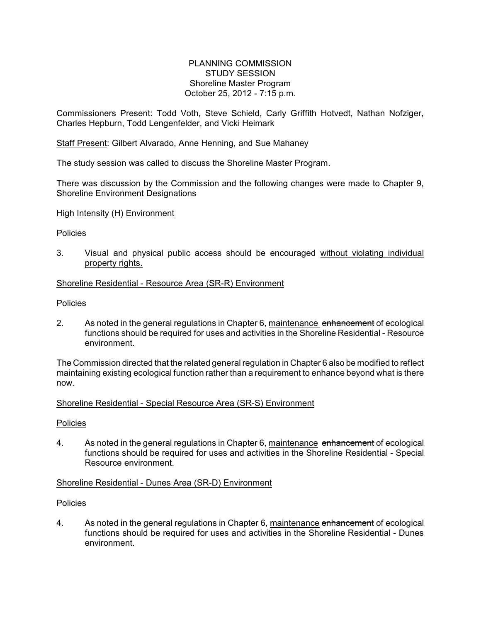## PLANNING COMMISSION STUDY SESSION Shoreline Master Program October 25, 2012 - 7:15 p.m.

Commissioners Present: Todd Voth, Steve Schield, Carly Griffith Hotvedt, Nathan Nofziger, Charles Hepburn, Todd Lengenfelder, and Vicki Heimark

Staff Present: Gilbert Alvarado, Anne Henning, and Sue Mahaney

The study session was called to discuss the Shoreline Master Program.

There was discussion by the Commission and the following changes were made to Chapter 9, Shoreline Environment Designations

#### High Intensity (H) Environment

#### **Policies**

3. Visual and physical public access should be encouraged without violating individual property rights.

# Shoreline Residential - Resource Area (SR-R) Environment

**Policies** 

2. As noted in the general regulations in Chapter 6, maintenance enhancement of ecological functions should be required for uses and activities in the Shoreline Residential - Resource environment.

The Commission directed that the related general regulation in Chapter 6 also be modified to reflect maintaining existing ecological function rather than a requirement to enhance beyond what is there now.

### Shoreline Residential - Special Resource Area (SR-S) Environment

#### **Policies**

4. As noted in the general regulations in Chapter 6, maintenance enhancement of ecological functions should be required for uses and activities in the Shoreline Residential - Special Resource environment.

#### Shoreline Residential - Dunes Area (SR-D) Environment

#### **Policies**

4. As noted in the general regulations in Chapter 6, maintenance enhancement of ecological functions should be required for uses and activities in the Shoreline Residential - Dunes environment.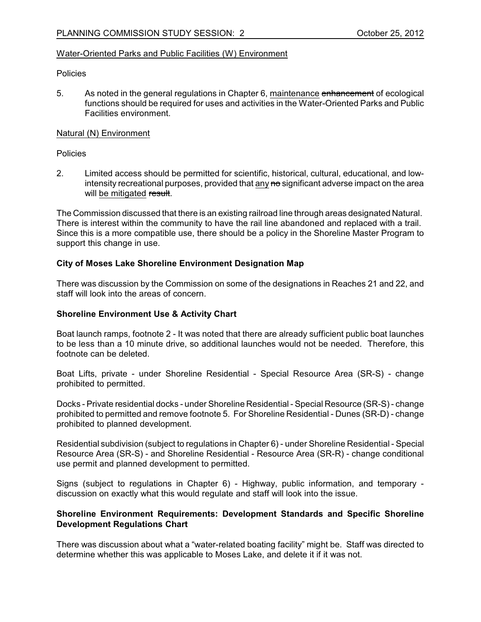## Water-Oriented Parks and Public Facilities (W) Environment

#### **Policies**

5. As noted in the general regulations in Chapter 6, maintenance enhancement of ecological functions should be required for uses and activities in the Water-Oriented Parks and Public Facilities environment.

### Natural (N) Environment

Policies

2. Limited access should be permitted for scientific, historical, cultural, educational, and lowintensity recreational purposes, provided that any no significant adverse impact on the area will be mitigated result.

The Commission discussed that there is an existing railroad line through areas designated Natural. There is interest within the community to have the rail line abandoned and replaced with a trail. Since this is a more compatible use, there should be a policy in the Shoreline Master Program to support this change in use.

# **City of Moses Lake Shoreline Environment Designation Map**

There was discussion by the Commission on some of the designations in Reaches 21 and 22, and staff will look into the areas of concern.

## **Shoreline Environment Use & Activity Chart**

Boat launch ramps, footnote 2 - It was noted that there are already sufficient public boat launches to be less than a 10 minute drive, so additional launches would not be needed. Therefore, this footnote can be deleted.

Boat Lifts, private - under Shoreline Residential - Special Resource Area (SR-S) - change prohibited to permitted.

Docks - Private residential docks - under Shoreline Residential - Special Resource (SR-S) - change prohibited to permitted and remove footnote 5. For Shoreline Residential - Dunes (SR-D) - change prohibited to planned development.

Residential subdivision (subject to regulations in Chapter 6) - under Shoreline Residential - Special Resource Area (SR-S) - and Shoreline Residential - Resource Area (SR-R) - change conditional use permit and planned development to permitted.

Signs (subject to regulations in Chapter 6) - Highway, public information, and temporary discussion on exactly what this would regulate and staff will look into the issue.

### **Shoreline Environment Requirements: Development Standards and Specific Shoreline Development Regulations Chart**

There was discussion about what a "water-related boating facility" might be. Staff was directed to determine whether this was applicable to Moses Lake, and delete it if it was not.